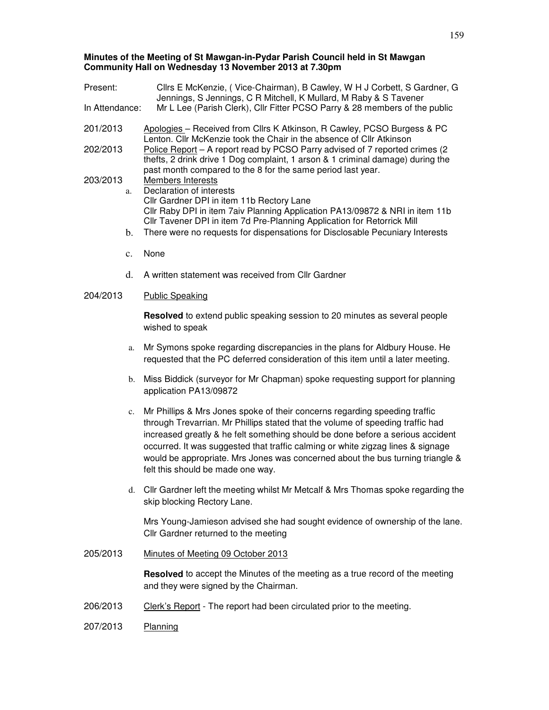# **Minutes of the Meeting of St Mawgan-in-Pydar Parish Council held in St Mawgan Community Hall on Wednesday 13 November 2013 at 7.30pm**

| Present:                                                                                                                                                          | Cllrs E McKenzie, (Vice-Chairman), B Cawley, W H J Corbett, S Gardner, G                                                                                                                                                                                                                                                                                                                                                                                 |
|-------------------------------------------------------------------------------------------------------------------------------------------------------------------|----------------------------------------------------------------------------------------------------------------------------------------------------------------------------------------------------------------------------------------------------------------------------------------------------------------------------------------------------------------------------------------------------------------------------------------------------------|
| Jennings, S Jennings, C R Mitchell, K Mullard, M Raby & S Tavener<br>Mr L Lee (Parish Clerk), Cllr Fitter PCSO Parry & 28 members of the public<br>In Attendance: |                                                                                                                                                                                                                                                                                                                                                                                                                                                          |
| 201/2013                                                                                                                                                          | Apologies - Received from Cllrs K Atkinson, R Cawley, PCSO Burgess & PC<br>Lenton. Cllr McKenzie took the Chair in the absence of Cllr Atkinson                                                                                                                                                                                                                                                                                                          |
| 202/2013                                                                                                                                                          | Police Report - A report read by PCSO Parry advised of 7 reported crimes (2<br>thefts, 2 drink drive 1 Dog complaint, 1 arson & 1 criminal damage) during the<br>past month compared to the 8 for the same period last year.                                                                                                                                                                                                                             |
| 203/2013<br>a.                                                                                                                                                    | Members Interests<br>Declaration of interests                                                                                                                                                                                                                                                                                                                                                                                                            |
|                                                                                                                                                                   | Cllr Gardner DPI in item 11b Rectory Lane<br>Cllr Raby DPI in item 7aiv Planning Application PA13/09872 & NRI in item 11b<br>Cllr Tavener DPI in item 7d Pre-Planning Application for Retorrick Mill                                                                                                                                                                                                                                                     |
| b.                                                                                                                                                                | There were no requests for dispensations for Disclosable Pecuniary Interests                                                                                                                                                                                                                                                                                                                                                                             |
| $\mathbf{c}$ .                                                                                                                                                    | None                                                                                                                                                                                                                                                                                                                                                                                                                                                     |
| d.                                                                                                                                                                | A written statement was received from Cllr Gardner                                                                                                                                                                                                                                                                                                                                                                                                       |
| 204/2013                                                                                                                                                          | <b>Public Speaking</b>                                                                                                                                                                                                                                                                                                                                                                                                                                   |
|                                                                                                                                                                   | <b>Resolved</b> to extend public speaking session to 20 minutes as several people<br>wished to speak                                                                                                                                                                                                                                                                                                                                                     |
| a.                                                                                                                                                                | Mr Symons spoke regarding discrepancies in the plans for Aldbury House. He<br>requested that the PC deferred consideration of this item until a later meeting.                                                                                                                                                                                                                                                                                           |
| b.                                                                                                                                                                | Miss Biddick (surveyor for Mr Chapman) spoke requesting support for planning<br>application PA13/09872                                                                                                                                                                                                                                                                                                                                                   |
| c.                                                                                                                                                                | Mr Phillips & Mrs Jones spoke of their concerns regarding speeding traffic<br>through Trevarrian. Mr Phillips stated that the volume of speeding traffic had<br>increased greatly & he felt something should be done before a serious accident<br>occurred. It was suggested that traffic calming or white zigzag lines & signage<br>would be appropriate. Mrs Jones was concerned about the bus turning triangle &<br>felt this should be made one way. |
| d.                                                                                                                                                                | CIIr Gardner left the meeting whilst Mr Metcalf & Mrs Thomas spoke regarding the<br>skip blocking Rectory Lane.                                                                                                                                                                                                                                                                                                                                          |
|                                                                                                                                                                   | Mrs Young-Jamieson advised she had sought evidence of ownership of the lane.<br>Cllr Gardner returned to the meeting                                                                                                                                                                                                                                                                                                                                     |
| 205/2013                                                                                                                                                          | Minutes of Meeting 09 October 2013                                                                                                                                                                                                                                                                                                                                                                                                                       |
|                                                                                                                                                                   | <b>Resolved</b> to accept the Minutes of the meeting as a true record of the meeting<br>and they were signed by the Chairman.                                                                                                                                                                                                                                                                                                                            |
| 206/2013                                                                                                                                                          | Clerk's Report - The report had been circulated prior to the meeting.                                                                                                                                                                                                                                                                                                                                                                                    |
| 207/2013                                                                                                                                                          | Planning                                                                                                                                                                                                                                                                                                                                                                                                                                                 |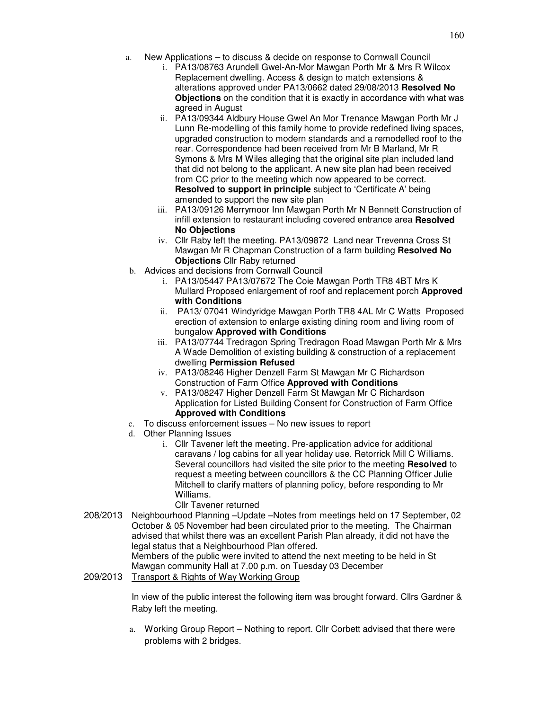- a. New Applications to discuss & decide on response to Cornwall Council
	- i. PA13/08763 Arundell Gwel-An-Mor Mawgan Porth Mr & Mrs R Wilcox Replacement dwelling. Access & design to match extensions & alterations approved under PA13/0662 dated 29/08/2013 **Resolved No Objections** on the condition that it is exactly in accordance with what was agreed in August
	- ii. PA13/09344 Aldbury House Gwel An Mor Trenance Mawgan Porth Mr J Lunn Re-modelling of this family home to provide redefined living spaces, upgraded construction to modern standards and a remodelled roof to the rear. Correspondence had been received from Mr B Marland, Mr R Symons & Mrs M Wiles alleging that the original site plan included land that did not belong to the applicant. A new site plan had been received from CC prior to the meeting which now appeared to be correct. **Resolved to support in principle** subject to 'Certificate A' being amended to support the new site plan
	- iii. PA13/09126 Merrymoor Inn Mawgan Porth Mr N Bennett Construction of infill extension to restaurant including covered entrance area **Resolved No Objections**
	- iv. Cllr Raby left the meeting. PA13/09872 Land near Trevenna Cross St Mawgan Mr R Chapman Construction of a farm building **Resolved No Objections** Cllr Raby returned
- b. Advices and decisions from Cornwall Council
	- i. PA13/05447 PA13/07672 The Coie Mawgan Porth TR8 4BT Mrs K Mullard Proposed enlargement of roof and replacement porch **Approved with Conditions**
	- ii. PA13/ 07041 Windyridge Mawgan Porth TR8 4AL Mr C Watts Proposed erection of extension to enlarge existing dining room and living room of bungalow **Approved with Conditions**
	- iii. PA13/07744 Tredragon Spring Tredragon Road Mawgan Porth Mr & Mrs A Wade Demolition of existing building & construction of a replacement dwelling **Permission Refused**
	- iv. PA13/08246 Higher Denzell Farm St Mawgan Mr C Richardson Construction of Farm Office **Approved with Conditions**
	- v. PA13/08247 Higher Denzell Farm St Mawgan Mr C Richardson Application for Listed Building Consent for Construction of Farm Office **Approved with Conditions**
- c. To discuss enforcement issues No new issues to report
- d. Other Planning Issues
	- i. Cllr Tavener left the meeting. Pre-application advice for additional caravans / log cabins for all year holiday use. Retorrick Mill C Williams. Several councillors had visited the site prior to the meeting **Resolved** to request a meeting between councillors & the CC Planning Officer Julie Mitchell to clarify matters of planning policy, before responding to Mr Williams.
		- Cllr Tavener returned
- 208/2013 Neighbourhood Planning –Update –Notes from meetings held on 17 September, 02 October & 05 November had been circulated prior to the meeting. The Chairman advised that whilst there was an excellent Parish Plan already, it did not have the legal status that a Neighbourhood Plan offered.

Members of the public were invited to attend the next meeting to be held in St Mawgan community Hall at 7.00 p.m. on Tuesday 03 December

209/2013 Transport & Rights of Way Working Group

In view of the public interest the following item was brought forward. Cllrs Gardner & Raby left the meeting.

a. Working Group Report – Nothing to report. Cllr Corbett advised that there were problems with 2 bridges.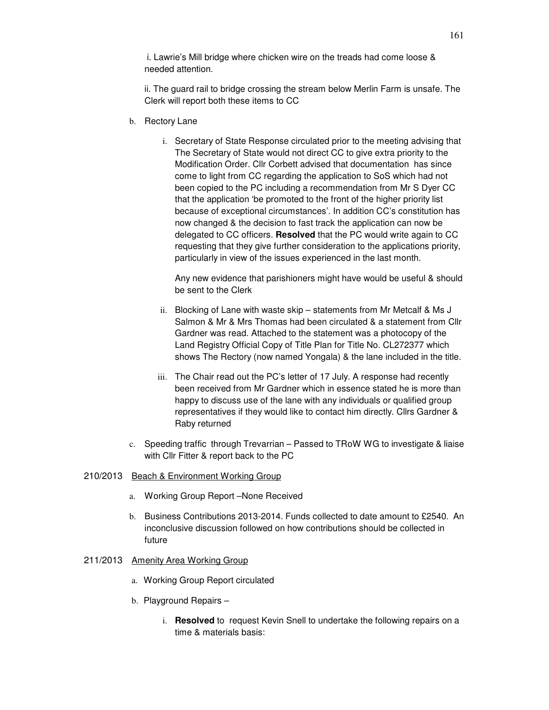i. Lawrie's Mill bridge where chicken wire on the treads had come loose & needed attention.

ii. The guard rail to bridge crossing the stream below Merlin Farm is unsafe. The Clerk will report both these items to CC

- b. Rectory Lane
	- i. Secretary of State Response circulated prior to the meeting advising that The Secretary of State would not direct CC to give extra priority to the Modification Order. Cllr Corbett advised that documentation has since come to light from CC regarding the application to SoS which had not been copied to the PC including a recommendation from Mr S Dyer CC that the application 'be promoted to the front of the higher priority list because of exceptional circumstances'. In addition CC's constitution has now changed & the decision to fast track the application can now be delegated to CC officers. **Resolved** that the PC would write again to CC requesting that they give further consideration to the applications priority, particularly in view of the issues experienced in the last month.

Any new evidence that parishioners might have would be useful & should be sent to the Clerk

- ii. Blocking of Lane with waste skip statements from Mr Metcalf & Ms J Salmon & Mr & Mrs Thomas had been circulated & a statement from Cllr Gardner was read. Attached to the statement was a photocopy of the Land Registry Official Copy of Title Plan for Title No. CL272377 which shows The Rectory (now named Yongala) & the lane included in the title.
- iii. The Chair read out the PC's letter of 17 July. A response had recently been received from Mr Gardner which in essence stated he is more than happy to discuss use of the lane with any individuals or qualified group representatives if they would like to contact him directly. Cllrs Gardner & Raby returned
- c. Speeding traffic through Trevarrian Passed to TRoW WG to investigate & liaise with Cllr Fitter & report back to the PC

## 210/2013 Beach & Environment Working Group

- a. Working Group Report –None Received
- b. Business Contributions 2013-2014. Funds collected to date amount to £2540. An inconclusive discussion followed on how contributions should be collected in future

#### 211/2013 Amenity Area Working Group

- a. Working Group Report circulated
- b. Playground Repairs
	- i. **Resolved** to request Kevin Snell to undertake the following repairs on a time & materials basis: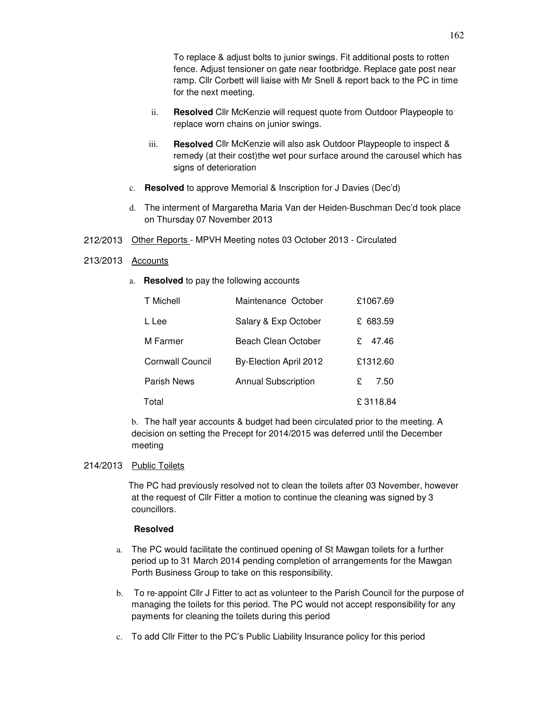To replace & adjust bolts to junior swings. Fit additional posts to rotten fence. Adjust tensioner on gate near footbridge. Replace gate post near ramp. Cllr Corbett will liaise with Mr Snell & report back to the PC in time for the next meeting.

- ii. **Resolved** Cllr McKenzie will request quote from Outdoor Playpeople to replace worn chains on junior swings.
- iii. **Resolved** Cllr McKenzie will also ask Outdoor Playpeople to inspect & remedy (at their cost)the wet pour surface around the carousel which has signs of deterioration
- c. **Resolved** to approve Memorial & Inscription for J Davies (Dec'd)
- d. The interment of Margaretha Maria Van der Heiden-Buschman Dec'd took place on Thursday 07 November 2013
- 212/2013 Other Reports MPVH Meeting notes 03 October 2013 Circulated

### 213/2013 Accounts

a. **Resolved** to pay the following accounts

| T Michell               | Maintenance October        | £1067.69 |          |
|-------------------------|----------------------------|----------|----------|
| L Lee                   | Salary & Exp October       | £ 683.59 |          |
| M Farmer                | Beach Clean October        | £.       | 47.46    |
| <b>Cornwall Council</b> | By-Election April 2012     | £1312.60 |          |
| <b>Parish News</b>      | <b>Annual Subscription</b> | £        | 7.50     |
| Total                   |                            |          | £3118.84 |

b. The half year accounts & budget had been circulated prior to the meeting. A decision on setting the Precept for 2014/2015 was deferred until the December meeting

#### 214/2013 Public Toilets

The PC had previously resolved not to clean the toilets after 03 November, however at the request of Cllr Fitter a motion to continue the cleaning was signed by 3 councillors.

#### **Resolved**

- a. The PC would facilitate the continued opening of St Mawgan toilets for a further period up to 31 March 2014 pending completion of arrangements for the Mawgan Porth Business Group to take on this responsibility.
- b. To re-appoint Cllr J Fitter to act as volunteer to the Parish Council for the purpose of managing the toilets for this period. The PC would not accept responsibility for any payments for cleaning the toilets during this period
- c. To add Cllr Fitter to the PC's Public Liability Insurance policy for this period